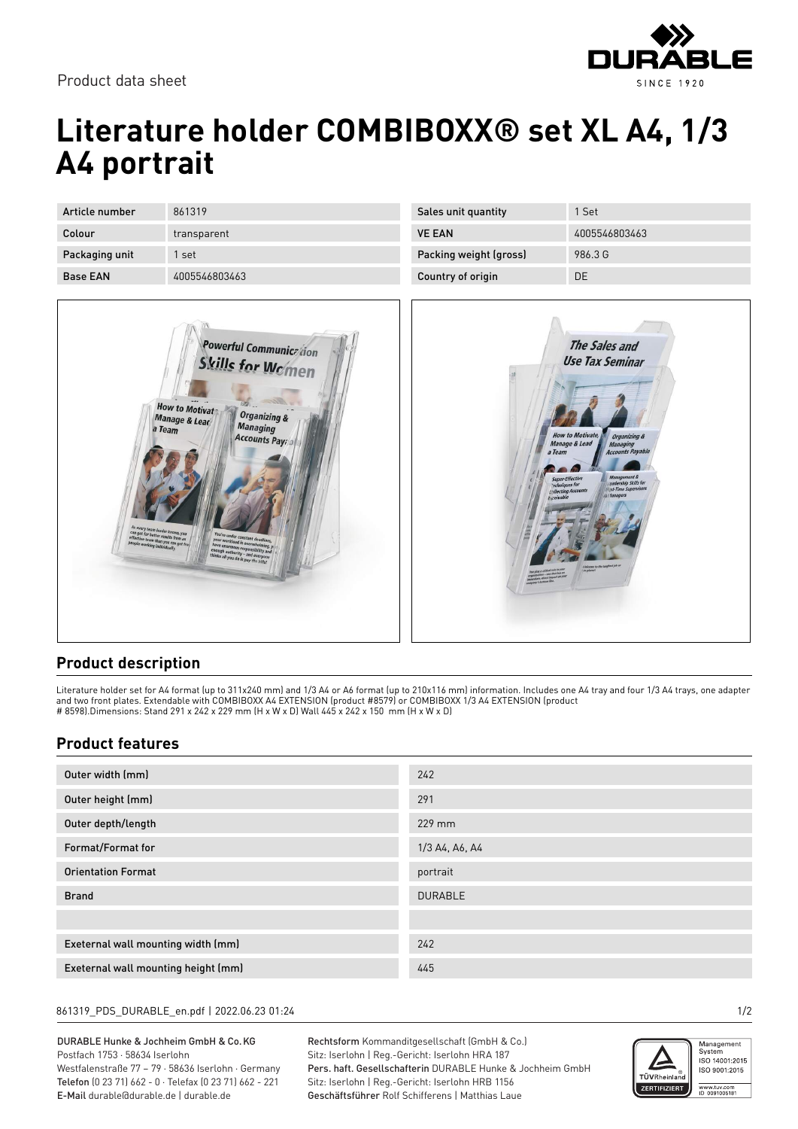

Product data sheet

# **Literature holder COMBIBOXX® set XL A4, 1/3 A4 portrait**

| Article number  | 861319        |
|-----------------|---------------|
| Colour          | transparent   |
| Packaging unit  | 1 set         |
| <b>Base EAN</b> | 4005546803463 |



| Sales unit quantity    | 1 Set         |
|------------------------|---------------|
| <b>VE EAN</b>          | 4005546803463 |
| Packing weight (gross) | 986.3 G       |
| Country of origin      | DΕ            |



### **Product description**

Literature holder set for A4 format (up to 311x240 mm) and 1/3 A4 or A6 format (up to 210x116 mm) information. Includes one A4 tray and four 1/3 A4 trays, one adapter and two front plates. Extendable with COMBIBOXX A4 EXTENSION (product #8579) or COMBIBOXX 1/3 A4 EXTENSION (product # 8598).Dimensions: Stand 291 x 242 x 229 mm (H x W x D) Wall 445 x 242 x 150 mm (H x W x D)

### **Product features**

| Outer width (mm)                    | 242            |
|-------------------------------------|----------------|
| Outer height (mm)                   | 291            |
| Outer depth/length                  | 229 mm         |
| Format/Format for                   | 1/3 A4, A6, A4 |
| <b>Orientation Format</b>           | portrait       |
| <b>Brand</b>                        | <b>DURABLE</b> |
|                                     |                |
| Exeternal wall mounting width (mm)  | 242            |
| Exeternal wall mounting height (mm) | 445            |

#### 861319\_PDS\_DURABLE\_en.pdf | 2022.06.23 01:24 1/2

DURABLE Hunke & Jochheim GmbH & Co.KG Postfach 1753 · 58634 Iserlohn Westfalenstraße 77 – 79 · 58636 Iserlohn · Germany Telefon (0 23 71) 662 - 0 · Telefax (0 23 71) 662 - 221 E-Mail durable@durable.de | durable.de

Rechtsform Kommanditgesellschaft (GmbH & Co.) Sitz: Iserlohn | Reg.-Gericht: Iserlohn HRA 187 Pers. haft. Gesellschafterin DURABLE Hunke & Jochheim GmbH Sitz: Iserlohn | Reg.-Gericht: Iserlohn HRB 1156 Geschäftsführer Rolf Schifferens | Matthias Laue